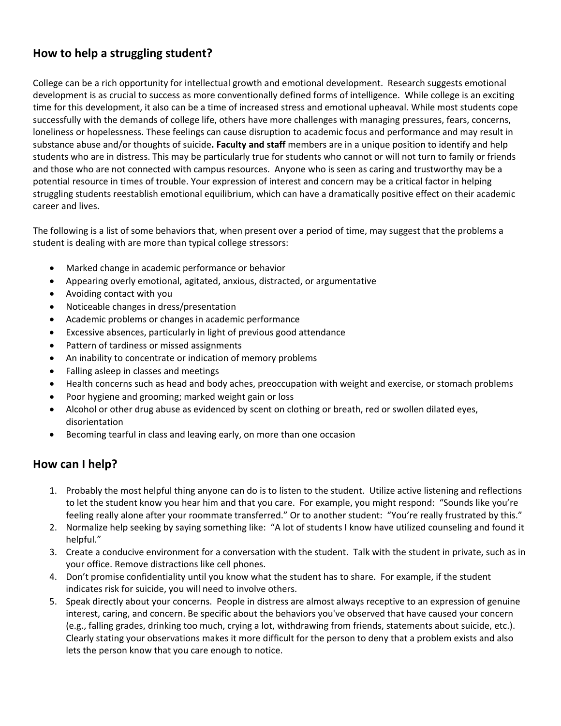## **How to help a struggling student?**

College can be a rich opportunity for intellectual growth and emotional development. Research suggests emotional development is as crucial to success as more conventionally defined forms of intelligence. While college is an exciting time for this development, it also can be a time of increased stress and emotional upheaval. While most students cope successfully with the demands of college life, others have more challenges with managing pressures, fears, concerns, loneliness or hopelessness. These feelings can cause disruption to academic focus and performance and may result in substance abuse and/or thoughts of suicide**. Faculty and staff** members are in a unique position to identify and help students who are in distress. This may be particularly true for students who cannot or will not turn to family or friends and those who are not connected with campus resources. Anyone who is seen as caring and trustworthy may be a potential resource in times of trouble. Your expression of interest and concern may be a critical factor in helping struggling students reestablish emotional equilibrium, which can have a dramatically positive effect on their academic career and lives.

The following is a list of some behaviors that, when present over a period of time, may suggest that the problems a student is dealing with are more than typical college stressors:

- Marked change in academic performance or behavior
- Appearing overly emotional, agitated, anxious, distracted, or argumentative
- Avoiding contact with you
- Noticeable changes in dress/presentation
- Academic problems or changes in academic performance
- Excessive absences, particularly in light of previous good attendance
- Pattern of tardiness or missed assignments
- An inability to concentrate or indication of memory problems
- Falling asleep in classes and meetings
- Health concerns such as head and body aches, preoccupation with weight and exercise, or stomach problems
- Poor hygiene and grooming; marked weight gain or loss
- Alcohol or other drug abuse as evidenced by scent on clothing or breath, red or swollen dilated eyes, disorientation
- Becoming tearful in class and leaving early, on more than one occasion

## **How can I help?**

- 1. Probably the most helpful thing anyone can do is to listen to the student. Utilize active listening and reflections to let the student know you hear him and that you care. For example, you might respond: "Sounds like you're feeling really alone after your roommate transferred." Or to another student: "You're really frustrated by this."
- 2. Normalize help seeking by saying something like: "A lot of students I know have utilized counseling and found it helpful."
- 3. Create a conducive environment for a conversation with the student. Talk with the student in private, such as in your office. Remove distractions like cell phones.
- 4. Don't promise confidentiality until you know what the student has to share. For example, if the student indicates risk for suicide, you will need to involve others.
- 5. Speak directly about your concerns. People in distress are almost always receptive to an expression of genuine interest, caring, and concern. Be specific about the behaviors you've observed that have caused your concern (e.g., falling grades, drinking too much, crying a lot, withdrawing from friends, statements about suicide, etc.). Clearly stating your observations makes it more difficult for the person to deny that a problem exists and also lets the person know that you care enough to notice.